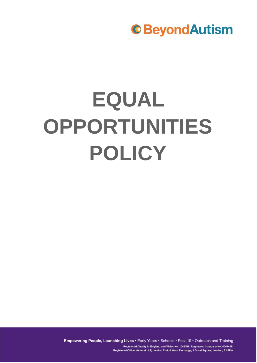# **EQUAL OPPORTUNITIES POLICY**

Empowering People, Launching Lives . Early Years . Schools . Post-19 . Outreach and Training

Registered Charity in England and Wales No. 1082599. Registered Company No. 4041459. Registered Office: Ashurst LLP, London Fruit & Wool Exchange, 1 Duval Square, London, E1 6PW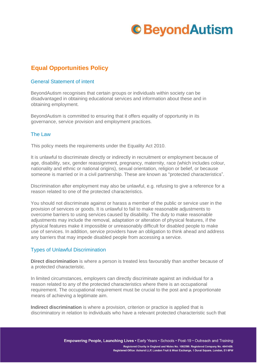### **Equal Opportunities Policy**

#### General Statement of intent

BeyondAutism recognises that certain groups or individuals within society can be disadvantaged in obtaining educational services and information about these and in obtaining employment.

BeyondAutism is committed to ensuring that it offers equality of opportunity in its governance, service provision and employment practices.

#### The Law

This policy meets the requirements under the Equality Act 2010.

It is unlawful to discriminate directly or indirectly in recruitment or employment because of age, disability, sex, gender reassignment, pregnancy, maternity, race (which includes colour, nationality and ethnic or national origins), sexual orientation, religion or belief, or because someone is married or in a civil partnership. These are known as "protected characteristics".

Discrimination after employment may also be unlawful, e.g. refusing to give a reference for a reason related to one of the protected characteristics.

You should not discriminate against or harass a member of the public or service user in the provision of services or goods. It is unlawful to fail to make reasonable adjustments to overcome barriers to using services caused by disability. The duty to make reasonable adjustments may include the removal, adaptation or alteration of physical features, if the physical features make it impossible or unreasonably difficult for disabled people to make use of services. In addition, service providers have an obligation to think ahead and address any barriers that may impede disabled people from accessing a service.

#### Types of Unlawful Discrimination

**Direct discrimination** is where a person is treated less favourably than another because of a protected characteristic.

In limited circumstances, employers can directly discriminate against an individual for a reason related to any of the protected characteristics where there is an occupational requirement. The occupational requirement must be crucial to the post and a proportionate means of achieving a legitimate aim.

**Indirect discrimination** is where a provision, criterion or practice is applied that is discriminatory in relation to individuals who have a relevant protected characteristic such that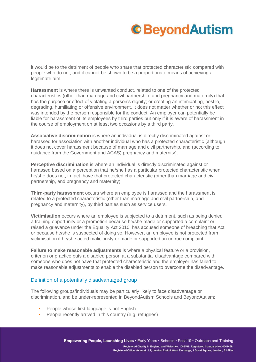it would be to the detriment of people who share that protected characteristic compared with people who do not, and it cannot be shown to be a proportionate means of achieving a legitimate aim.

**Harassment** is where there is unwanted conduct, related to one of the protected characteristics (other than marriage and civil partnership, and pregnancy and maternity) that has the purpose or effect of violating a person's dignity; or creating an intimidating, hostile, degrading, humiliating or offensive environment. It does not matter whether or not this effect was intended by the person responsible for the conduct. An employer can potentially be liable for harassment of its employees by third parties but only if it is aware of harassment in the course of employment on at least two occasions by a third party.

**Associative discrimination** is where an individual is directly discriminated against or harassed for association with another individual who has a protected characteristic (although it does not cover harassment because of marriage and civil partnership, and (according to guidance from the Government and ACAS) pregnancy and maternity).

**Perceptive discrimination** is where an individual is directly discriminated against or harassed based on a perception that he/she has a particular protected characteristic when he/she does not, in fact, have that protected characteristic (other than marriage and civil partnership, and pregnancy and maternity).

**Third-party harassment** occurs where an employee is harassed and the harassment is related to a protected characteristic (other than marriage and civil partnership, and pregnancy and maternity), by third parties such as service users.

**Victimisation** occurs where an employee is subjected to a detriment, such as being denied a training opportunity or a promotion because he/she made or supported a complaint or raised a grievance under the Equality Act 2010, has accused someone of breaching that Act or because he/she is suspected of doing so. However, an employee is not protected from victimisation if he/she acted maliciously or made or supported an untrue complaint.

**Failure to make reasonable adjustments** is where a physical feature or a provision, criterion or practice puts a disabled person at a substantial disadvantage compared with someone who does not have that protected characteristic and the employer has failed to make reasonable adjustments to enable the disabled person to overcome the disadvantage.

#### Definition of a potentially disadvantaged group

The following groups/individuals may be particularly likely to face disadvantage or discrimination, and be under-represented in BeyondAutism Schools and BeyondAutism:

- People whose first language is not English
- People recently arrived in this country (e.g. refugees)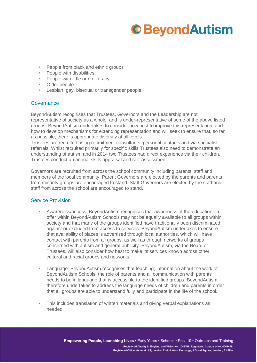- People from black and ethnic groups
- People with disabilities
- People with little or no literacy
- Older people
- Lesbian, gay, bisexual or transgender people

#### **Governance**

BeyondAutism recognises that Trustees, Governors and the Leadership are not representative of society as a whole, and is under-representative of some of the above listed groups. BeyondAutism undertakes to consider how best to improve this representation, and how to develop mechanisms for extending representation and will seek to ensure that, so far as possible, there is appropriate diversity at all levels.

Trustees are recruited using recruitment consultants, personal contacts and via specialist referrals. Whilst recruited primarily for specific skills Trustees also need to demonstrate an understanding of autism and in 2014 two Trustees had direct experience via their children. Trustees conduct an annual skills appraisal and self-assessment.

Governors are recruited from across the school community including parents, staff and members of the local community. Parent Governors are elected by the parents and parents from minority groups are encouraged to stand. Staff Governors are elected by the staff and staff from across the school are encouraged to stand.

#### Service Provision

- Awareness/access: BeyondAutism recognises that awareness of the education on offer within BeyondAutism Schools may not be equally available to all groups within society and that many of the groups identified have traditionally been discriminated against or excluded from access to services. BeyondAutism undertakes to ensure that availability of places is advertised through local authorities, which will have contact with parents from all groups, as well as through networks of groups concerned with autism and general publicity. BeyondAutism, via the Board of Trustees, will also consider how best to make its services known across other cultural and racial groups and networks.
- Language: BeyondAutism recognises that teaching; information about the work of BeyondAutism Schools; the role of parents and all communication with parents needs to be in language that is accessible to the identified groups. BeyondAutism therefore undertakes to address the language needs of children and parents in order that all groups are able to understand fully and participate in the life of the school.
- This includes translation of written materials and giving verbal explanations as needed.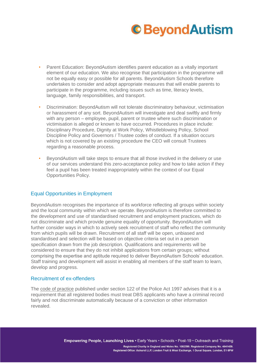

- Parent Education: BeyondAutism identifies parent education as a vitally important element of our education. We also recognise that participation in the programme will not be equally easy or possible for all parents. BeyondAutism Schools therefore undertakes to consider and adopt appropriate measures that will enable parents to participate in the programme, including issues such as time, literacy levels, language, family responsibilities, and transport.
- Discrimination: BeyondAutism will not tolerate discriminatory behaviour, victimisation or harassment of any sort. BeyondAutism will investigate and deal swiftly and firmly with any person – employee, pupil, parent or trustee where such discrimination or victimisation is alleged or known to have occurred. Procedures in place include: Disciplinary Procedure, Dignity at Work Policy, Whistleblowing Policy, School Discipline Policy and Governors / Trustee codes of conduct. If a situation occurs which is not covered by an existing procedure the CEO will consult Trustees regarding a reasonable process.
- BeyondAutism will take steps to ensure that all those involved in the delivery or use of our services understand this zero-acceptance policy and how to take action if they feel a pupil has been treated inappropriately within the context of our Equal Opportunities Policy.

#### Equal Opportunities in Employment

BeyondAutism recognises the importance of its workforce reflecting all groups within society and the local community within which we operate. BeyondAutism is therefore committed to the development and use of standardised recruitment and employment practices, which do not discriminate and which provide genuine equality of opportunity. BeyondAutism will further consider ways in which to actively seek recruitment of staff who reflect the community from which pupils will be drawn. Recruitment of all staff will be open, unbiased and standardised and selection will be based on objective criteria set out in a person specification drawn from the job description. Qualifications and requirements will be considered to ensure that they do not inhibit applications from certain groups; without comprising the expertise and aptitude required to deliver BeyondAutism Schools' education. Staff training and development will assist in enabling all members of the staff team to learn, develop and progress.

#### Recruitment of ex-offenders

The [code](https://www.gov.uk/government/publications/dbs-code-of-practice) [of](https://www.gov.uk/government/publications/dbs-code-of-practice) [practice](https://www.gov.uk/government/publications/dbs-code-of-practice) published under section 122 of the Police Act 1997 advises that it is a requirement that all registered bodies must treat DBS applicants who have a criminal record fairly and not discriminate automatically because of a conviction or other information revealed.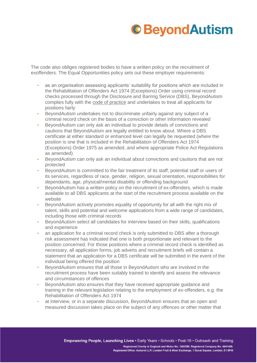The code also obliges registered bodies to have a written policy on the recruitment of exoffenders. The Equal Opportunities policy sets out these employer requirements:

- as an organisation assessing applicants' suitability for positions which are included in the Rehabilitation of Offenders Act 1974 (Exceptions) Order using criminal record checks processed through the Disclosure and Barring Service (DBS), BeyondAutism complies fully with th[e](https://www.gov.uk/government/publications/dbs-code-of-practice) [code](https://www.gov.uk/government/publications/dbs-code-of-practice) [of](https://www.gov.uk/government/publications/dbs-code-of-practice) [practice](https://www.gov.uk/government/publications/dbs-code-of-practice) and undertakes to treat all applicants for positions fairly
- BeyondAutism undertakes not to discriminate unfairly against any subject of a criminal record check on the basis of a conviction or other information revealed
- BeyondAutism can only ask an individual to provide details of convictions and cautions that BeyondAutism are legally entitled to know about. Where a DBS certificate at either standard or enhanced level can legally be requested (where the position is one that is included in the Rehabilitation of Offenders Act 1974 (Exceptions) Order 1975 as amended, and where appropriate Police Act Regulations as amended)
- BeyondAutism can only ask an individual about convictions and cautions that are not protected
- BeyondAutism is committed to the fair treatment of its staff, potential staff or users of its services, regardless of race, gender, religion, sexual orientation, responsibilities for dependants, age, physical/mental disability or offending background
- BeyondAutism has a written policy on the recruitment of ex-offenders, which is made available to all DBS applicants at the start of the recruitment process available on the website
- BeyondAutism actively promotes equality of opportunity for all with the right mix of talent, skills and potential and welcome applications from a wide range of candidates, including those with criminal records
- BeyondAutism select all candidates for interview based on their skills, qualifications and experience
- an application for a criminal record check is only submitted to DBS after a thorough risk assessment has indicated that one is both proportionate and relevant to the position concerned. For those positions where a criminal record check is identified as necessary, all application forms, job adverts and recruitment briefs will contain a statement that an application for a DBS certificate will be submitted in the event of the individual being offered the position
- BeyondAutism ensures that all those in BeyondAutism who are involved in the recruitment process have been suitably trained to identify and assess the relevance and circumstances of offences
- BeyondAutism also ensures that they have received appropriate guidance and training in the relevant legislation relating to the employment of ex-offenders, e.g. the Rehabilitation of Offenders Act 1974
- at interview, or in a separate discussion, BeyondAutism ensures that an open and measured discussion takes place on the subject of any offences or other matter that

Empowering People, Launching Lives . Early Years . Schools . Post-19 . Outreach and Training Registered Charity in England and Wales No. 1082599. Registered Company No. 4041459.

Registered Office: Ashurst LLP, London Fruit & Wool Exchange, 1 Duval Square, London, E1 6PW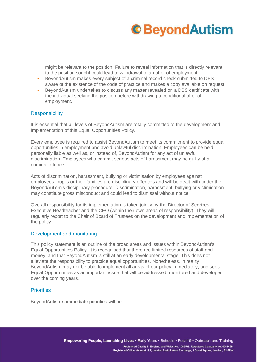

might be relevant to the position. Failure to reveal information that is directly relevant to the position sought could lead to withdrawal of an offer of employment

- BeyondAutism makes every subject of a criminal record check submitted to DBS aware of the existence of the code of practice and makes a copy available on request
- BeyondAutism undertakes to discuss any matter revealed on a DBS certificate with the individual seeking the position before withdrawing a conditional offer of employment.

#### **Responsibility**

It is essential that all levels of BeyondAutism are totally committed to the development and implementation of this Equal Opportunities Policy.

Every employee is required to assist BeyondAutism to meet its commitment to provide equal opportunities in employment and avoid unlawful discrimination. Employees can be held personally liable as well as, or instead of, BeyondAutism for any act of unlawful discrimination. Employees who commit serious acts of harassment may be guilty of a criminal offence.

Acts of discrimination, harassment, bullying or victimisation by employees against employees, pupils or their families are disciplinary offences and will be dealt with under the BeyondAutism's disciplinary procedure. Discrimination, harassment, bullying or victimisation may constitute gross misconduct and could lead to dismissal without notice.

Overall responsibility for its implementation is taken jointly by the Director of Services, Executive Headteacher and the CEO (within their own areas of responsibility). They will regularly report to the Chair of Board of Trustees on the development and implementation of the policy.

#### Development and monitoring

This policy statement is an outline of the broad areas and issues within BeyondAutism's Equal Opportunities Policy. It is recognised that there are limited resources of staff and money, and that BeyondAutism is still at an early developmental stage. This does not alleviate the responsibility to practice equal opportunities. Nonetheless, in reality BeyondAutism may not be able to implement all areas of our policy immediately, and sees Equal Opportunities as an important issue that will be addressed, monitored and developed over the coming years.

#### **Priorities**

BeyondAutism's immediate priorities will be:

Empowering People, Launching Lives . Early Years . Schools . Post-19 . Outreach and Training

Registered Charity in England and Wales No. 1082599. Registered Company No. 4041459. Registered Office: Ashurst LLP, London Fruit & Wool Exchange, 1 Duval Square, London, E1 6PW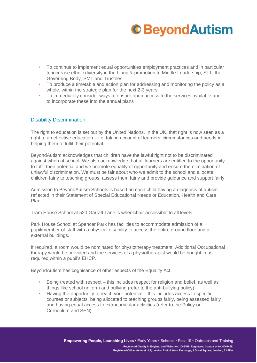- To continue to implement equal opportunities employment practices and in particular to increase ethnic diversity in the hiring & promotion to Middle Leadership, SLT, the Governing Body, SMT and Trustees
- To produce a timetable and action plan for addressing and monitoring the policy as a whole, within the strategic plan for the next 2-3 years
- To immediately consider ways to ensure open access to the services available and to incorporate these into the annual plans

#### Disability Discrimination

The right to education is set out by the United Nations. In the UK, that right is now seen as a right to an effective education – i.e. taking account of learners' circumstances and needs in helping them to fulfil their potential.

BeyondAutism acknowledges that children have the lawful right not to be discriminated against when at school. We also acknowledge that all learners are entitled to the opportunity to fulfil their potential and we promote equality of opportunity and ensure the elimination of unlawful discrimination. We must be fair about who we admit to the school and allocate children fairly to teaching groups, assess them fairly and provide guidance and support fairly.

Admission to BeyondAutism Schools is based on each child having a diagnosis of autism reflected in their Statement of Special Educational Needs or Education, Health and Care Plan.

Tram House School at 520 Garratt Lane is wheelchair accessible to all levels.

Park House School at Spencer Park has facilities to accommodate admission of a pupil/member of staff with a physical disability to access the entire ground floor and all external buildings.

If required, a room would be nominated for physiotherapy treatment. Additional Occupational therapy would be provided and the services of a physiotherapist would be bought in as required within a pupil's EHCP.

BeyondAutism has cognisance of other aspects of the Equality Act:

- Being treated with respect this includes respect for religion and belief, as well as things like school uniform and bullying (refer to the anti-bullying policy)
- Having the opportunity to reach your potential this includes access to specific courses or subjects, being allocated to teaching groups fairly, being assessed fairly and having equal access to extracurricular activities (refer to the Policy on Curriculum and SEN)